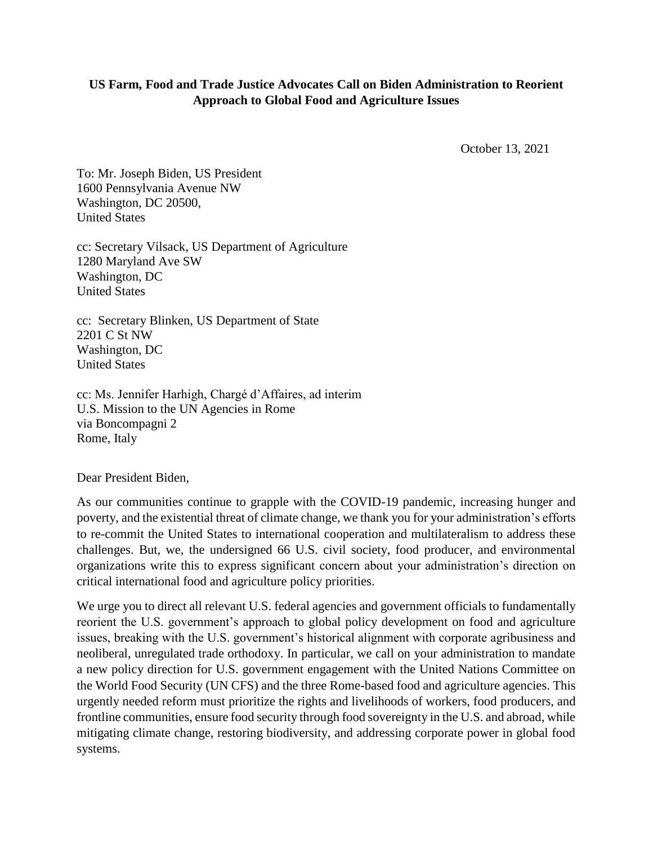## **US Farm, Food and Trade Justice Advocates Call on Biden Administration to Reorient Approach to Global Food and Agriculture Issues**

October 13, 2021

To: Mr. Joseph Biden, US President 1600 Pennsylvania Avenue NW Washington, DC 20500, United States

cc: Secretary Vilsack, US Department of Agriculture 1280 Maryland Ave SW Washington, DC United States

cc: Secretary Blinken, US Department of State 2201 C St NW Washington, DC United States

cc: Ms. Jennifer Harhigh, Chargé d'Affaires, ad interim U.S. Mission to the UN Agencies in Rome via Boncompagni 2 Rome, Italy

Dear President Biden,

As our communities continue to grapple with the COVID-19 pandemic, increasing hunger and poverty, and the existential threat of climate change, we thank you for your administration's efforts to re-commit the United States to international cooperation and multilateralism to address these challenges. But, we, the undersigned 66 U.S. civil society, food producer, and environmental organizations write this to express significant concern about your administration's direction on critical international food and agriculture policy priorities.

We urge you to direct all relevant U.S. federal agencies and government officials to fundamentally reorient the U.S. government's approach to global policy development on food and agriculture issues, breaking with the U.S. government's historical alignment with corporate agribusiness and neoliberal, unregulated trade orthodoxy. In particular, we call on your administration to mandate a new policy direction for U.S. government engagement with the United Nations Committee on the World Food Security (UN CFS) and the three Rome-based food and agriculture agencies. This urgently needed reform must prioritize the rights and livelihoods of workers, food producers, and frontline communities, ensure food security through food sovereignty in the U.S. and abroad, while mitigating climate change, restoring biodiversity, and addressing corporate power in global food systems.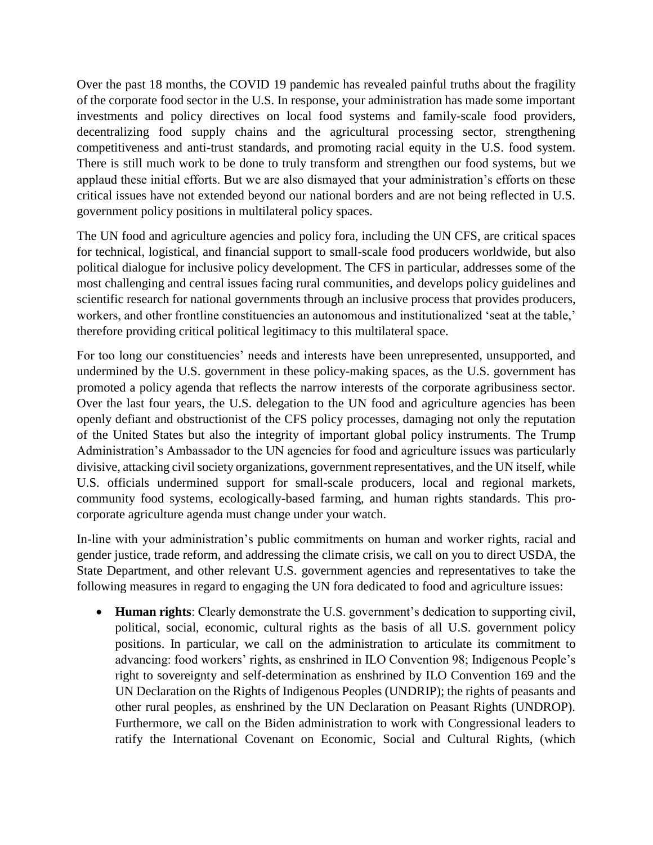Over the past 18 months, the COVID 19 pandemic has revealed painful truths about the fragility of the corporate food sector in the U.S. In response, your administration has made some important investments and policy directives on local food systems and family-scale food providers, decentralizing food supply chains and the agricultural processing sector, strengthening competitiveness and anti-trust standards, and promoting racial equity in the U.S. food system. There is still much work to be done to truly transform and strengthen our food systems, but we applaud these initial efforts. But we are also dismayed that your administration's efforts on these critical issues have not extended beyond our national borders and are not being reflected in U.S. government policy positions in multilateral policy spaces.

The UN food and agriculture agencies and policy fora, including the UN CFS, are critical spaces for technical, logistical, and financial support to small-scale food producers worldwide, but also political dialogue for inclusive policy development. The CFS in particular, addresses some of the most challenging and central issues facing rural communities, and develops policy guidelines and scientific research for national governments through an inclusive process that provides producers, workers, and other frontline constituencies an autonomous and institutionalized 'seat at the table,' therefore providing critical political legitimacy to this multilateral space.

For too long our constituencies' needs and interests have been unrepresented, unsupported, and undermined by the U.S. government in these policy-making spaces, as the U.S. government has promoted a policy agenda that reflects the narrow interests of the corporate agribusiness sector. Over the last four years, the U.S. delegation to the UN food and agriculture agencies has been openly defiant and obstructionist of the CFS policy processes, damaging not only the reputation of the United States but also the integrity of important global policy instruments. The Trump Administration's Ambassador to the UN agencies for food and agriculture issues was particularly divisive, attacking civil society organizations, government representatives, and the UN itself, while U.S. officials undermined support for small-scale producers, local and regional markets, community food systems, ecologically-based farming, and human rights standards. This procorporate agriculture agenda must change under your watch.

In-line with your administration's public commitments on human and worker rights, racial and gender justice, trade reform, and addressing the climate crisis, we call on you to direct USDA, the State Department, and other relevant U.S. government agencies and representatives to take the following measures in regard to engaging the UN fora dedicated to food and agriculture issues:

 **Human rights**: Clearly demonstrate the U.S. government's dedication to supporting civil, political, social, economic, cultural rights as the basis of all U.S. government policy positions. In particular, we call on the administration to articulate its commitment to advancing: food workers' rights, as enshrined in ILO Convention 98; Indigenous People's right to sovereignty and self-determination as enshrined by ILO Convention 169 and the UN Declaration on the Rights of Indigenous Peoples (UNDRIP); the rights of peasants and other rural peoples, as enshrined by the UN Declaration on Peasant Rights (UNDROP). Furthermore, we call on the Biden administration to work with Congressional leaders to ratify the International Covenant on Economic, Social and Cultural Rights, (which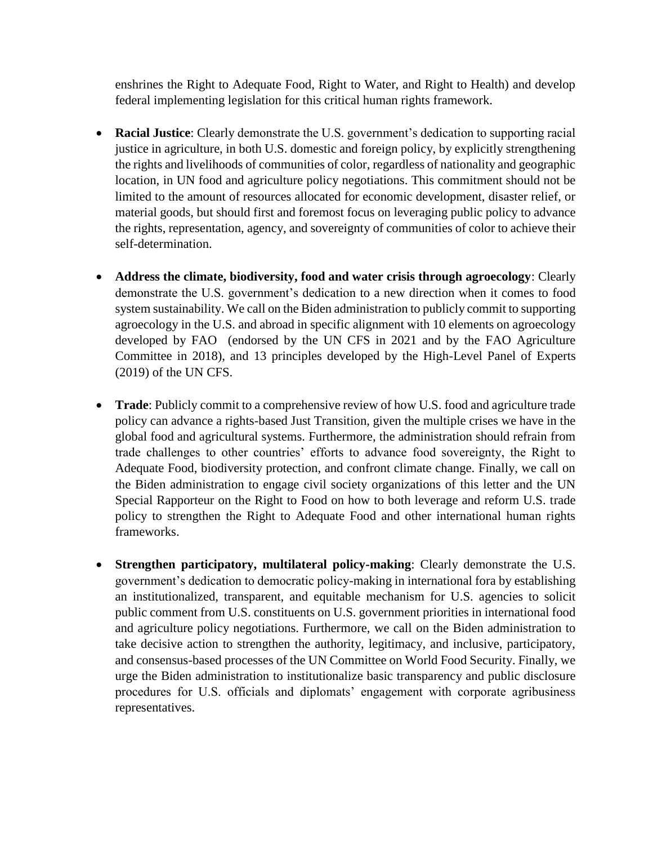enshrines the Right to Adequate Food, Right to Water, and Right to Health) and develop federal implementing legislation for this critical human rights framework.

- **Racial Justice**: Clearly demonstrate the U.S. government's dedication to supporting racial justice in agriculture, in both U.S. domestic and foreign policy, by explicitly strengthening the rights and livelihoods of communities of color, regardless of nationality and geographic location, in UN food and agriculture policy negotiations. This commitment should not be limited to the amount of resources allocated for economic development, disaster relief, or material goods, but should first and foremost focus on leveraging public policy to advance the rights, representation, agency, and sovereignty of communities of color to achieve their self-determination.
- **Address the climate, biodiversity, food and water crisis through agroecology**: Clearly demonstrate the U.S. government's dedication to a new direction when it comes to food system sustainability. We call on the Biden administration to publicly commit to supporting agroecology in the U.S. and abroad in specific alignment with 10 elements on agroecology developed by FAO (endorsed by the UN CFS in 2021 and by the FAO Agriculture Committee in 2018), and 13 principles developed by the High-Level Panel of Experts (2019) of the UN CFS.
- **Trade**: Publicly commit to a comprehensive review of how U.S. food and agriculture trade policy can advance a rights-based Just Transition, given the multiple crises we have in the global food and agricultural systems. Furthermore, the administration should refrain from trade challenges to other countries' efforts to advance food sovereignty, the Right to Adequate Food, biodiversity protection, and confront climate change. Finally, we call on the Biden administration to engage civil society organizations of this letter and the UN Special Rapporteur on the Right to Food on how to both leverage and reform U.S. trade policy to strengthen the Right to Adequate Food and other international human rights frameworks.
- **Strengthen participatory, multilateral policy-making**: Clearly demonstrate the U.S. government's dedication to democratic policy-making in international fora by establishing an institutionalized, transparent, and equitable mechanism for U.S. agencies to solicit public comment from U.S. constituents on U.S. government priorities in international food and agriculture policy negotiations. Furthermore, we call on the Biden administration to take decisive action to strengthen the authority, legitimacy, and inclusive, participatory, and consensus-based processes of the UN Committee on World Food Security. Finally, we urge the Biden administration to institutionalize basic transparency and public disclosure procedures for U.S. officials and diplomats' engagement with corporate agribusiness representatives.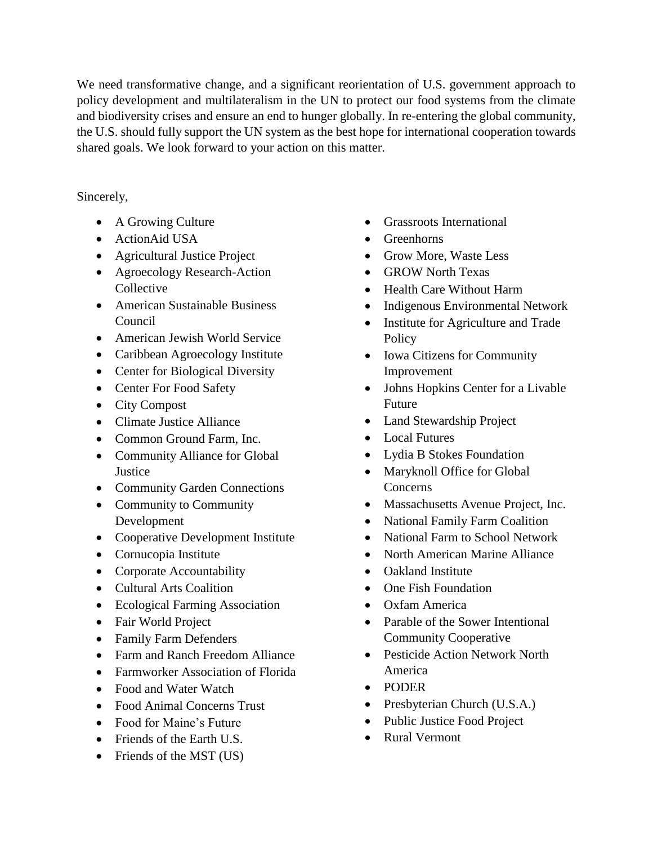We need transformative change, and a significant reorientation of U.S. government approach to policy development and multilateralism in the UN to protect our food systems from the climate and biodiversity crises and ensure an end to hunger globally. In re-entering the global community, the U.S. should fully support the UN system as the best hope for international cooperation towards shared goals. We look forward to your action on this matter.

## Sincerely,

- A Growing Culture
- ActionAid USA
- Agricultural Justice Project
- Agroecology Research-Action Collective
- American Sustainable Business Council
- American Jewish World Service
- Caribbean Agroecology Institute
- Center for Biological Diversity
- Center For Food Safety
- City Compost
- Climate Justice Alliance
- Common Ground Farm, Inc.
- Community Alliance for Global **Justice**
- Community Garden Connections
- Community to Community Development
- Cooperative Development Institute
- Cornucopia Institute
- Corporate Accountability
- Cultural Arts Coalition
- Ecological Farming Association
- Fair World Project
- Family Farm Defenders
- Farm and Ranch Freedom Alliance
- Farmworker Association of Florida
- Food and Water Watch
- Food Animal Concerns Trust
- Food for Maine's Future
- Friends of the Earth U.S.
- Friends of the MST (US)
- Grassroots International
- Greenhorns
- Grow More, Waste Less
- GROW North Texas
- Health Care Without Harm
- Indigenous Environmental Network
- Institute for Agriculture and Trade **Policy**
- Iowa Citizens for Community Improvement
- Johns Hopkins Center for a Livable Future
- Land Stewardship Project
- Local Futures
- Lydia B Stokes Foundation
- Maryknoll Office for Global Concerns
- Massachusetts Avenue Project, Inc.
- National Family Farm Coalition
- National Farm to School Network
- North American Marine Alliance
- Oakland Institute
- One Fish Foundation
- Oxfam America
- Parable of the Sower Intentional Community Cooperative
- Pesticide Action Network North America
- PODER
- Presbyterian Church (U.S.A.)
- Public Justice Food Project
- Rural Vermont